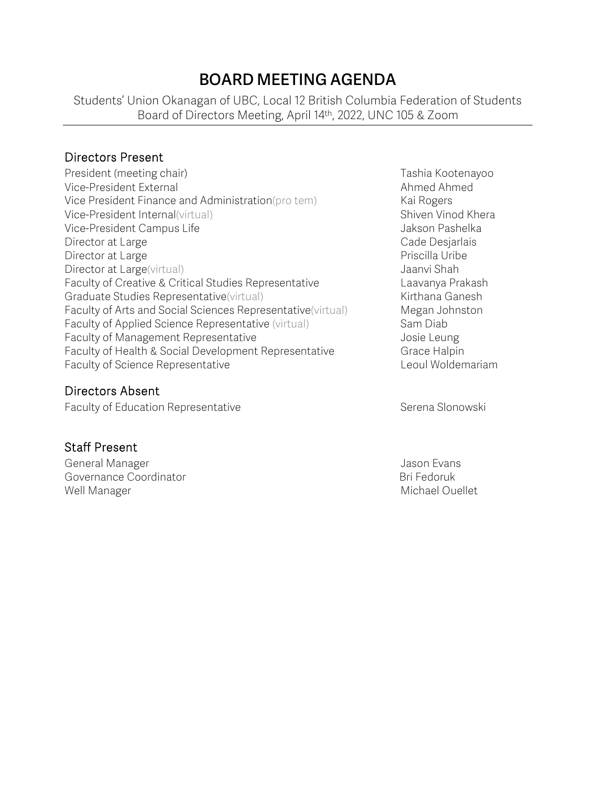# **BOARD MEETING AGENDA**

Students' Union Okanagan of UBC, Local 12 British Columbia Federation of Students Board of Directors Meeting, April 14th, 2022, UNC 105 & Zoom

#### Directors Present

President (meeting chair) Trashia Kootenayoo Vice-President External Ahmed Ahmed Ahmed Ahmed Ahmed Ahmed Ahmed Ahmed Ahmed Ahmed Ahmed Ahmed Ahmed Ahmed Ahmed Ahmed Ahmed Ahmed Ahmed Ahmed Ahmed Ahmed Ahmed Ahmed Ahmed Ahmed Ahmed Ahmed Ahmed Ahmed Ahmed Ahmed Ahmed Vice President Finance and Administration(pro tem) Kai Rogers Vice-President Internal(virtual) Shiven Vinod Khera Vice-President Campus Life Jakson Pashelka Director at Large **Cade Desjarlais** Cade Desjarlais Director at Large **Priscilla Uribe** Priscilla Uribe Director at Large(virtual) and the state of the United States of the United States of the United States of the U Faculty of Creative & Critical Studies Representative Laavanya Prakash Graduate Studies Representative(virtual) Manuel Annuel Kirthana Ganesh Faculty of Arts and Social Sciences Representative(virtual) Megan Johnston Faculty of Applied Science Representative (virtual) Sam Diab Faculty of Management Representative Theorem Constanting Security of Management Representative Constanting Security A Faculty of Health & Social Development Representative Grace Halpin Faculty of Science Representative **Leoul Woldemariam** 

#### Directors Absent

Faculty of Education Representative **Serena Slonowski** Serena Slonowski

#### Staff Present

General Manager Jason Evans Jason Evans Governance Coordinator **Bridge Coordinator** Bri Fedoruk Well Manager Michael Ouellet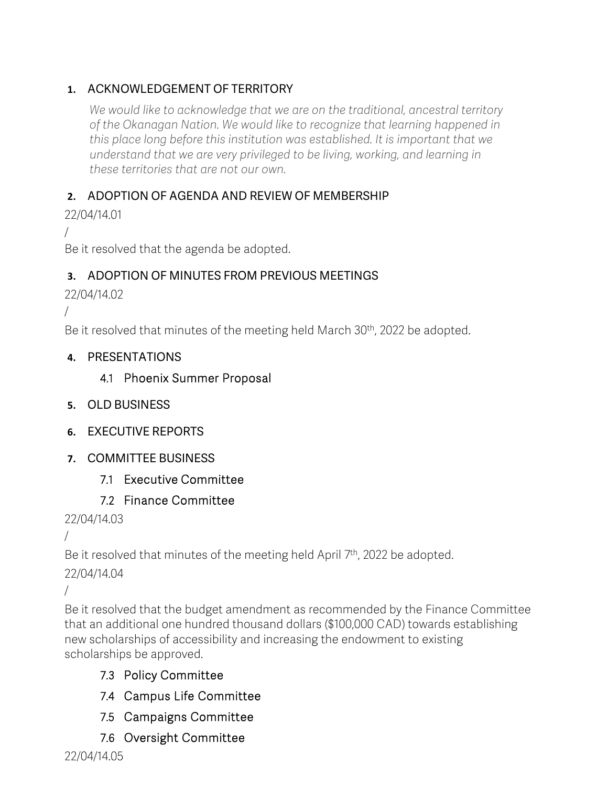### **1.** ACKNOWLEDGEMENT OF TERRITORY

*We would like to acknowledge that we are on the traditional, ancestral territory of the Okanagan Nation. We would like to recognize that learning happened in this place long before this institution was established. It is important that we understand that we are very privileged to be living, working, and learning in these territories that are not our own.*

### **2.** ADOPTION OF AGENDA AND REVIEW OF MEMBERSHIP

22/04/14.01

/

Be it resolved that the agenda be adopted.

### **3.** ADOPTION OF MINUTES FROM PREVIOUS MEETINGS

22/04/14.02

/

Be it resolved that minutes of the meeting held March 30<sup>th</sup>, 2022 be adopted.

#### **4.** PRESENTATIONS

### 4.1 Phoenix Summer Proposal

- **5.** OLD BUSINESS
- **6.** EXECUTIVE REPORTS
- **7.** COMMITTEE BUSINESS
	- 7.1 Executive Committee

# 7.2 Finance Committee

# 22/04/14.03

```
/
```
Be it resolved that minutes of the meeting held April 7<sup>th</sup>, 2022 be adopted.

22/04/14.04

/

Be it resolved that the budget amendment as recommended by the Finance Committee that an additional one hundred thousand dollars (\$100,000 CAD) towards establishing new scholarships of accessibility and increasing the endowment to existing scholarships be approved.

# 7.3 Policy Committee

- 7.4 Campus Life Committee
- 7.5 Campaigns Committee
- 7.6 Oversight Committee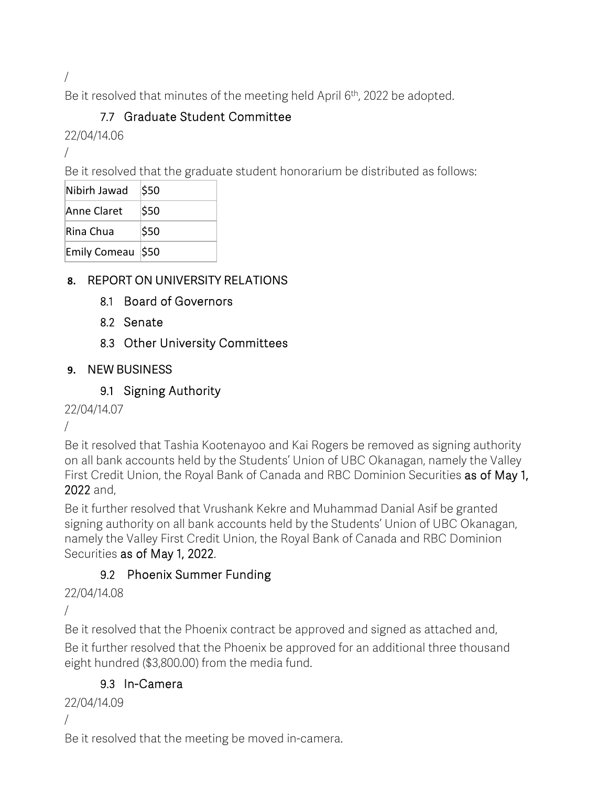/

Be it resolved that minutes of the meeting held April 6<sup>th</sup>, 2022 be adopted.

# 7.7 Graduate Student Committee

22/04/14.06

/

Be it resolved that the graduate student honorarium be distributed as follows:

| Nibirh Jawad | \$50 |
|--------------|------|
| Anne Claret  | \$50 |
| Rina Chua    | \$50 |
| Emily Comeau | \$50 |

### **8.** REPORT ON UNIVERSITY RELATIONS

- 8.1 Board of Governors
- 8.2 Senate
- 8.3 Other University Committees

#### **9.** NEW BUSINESS

### 9.1 Signing Authority

22/04/14.07

/

Be it resolved that Tashia Kootenayoo and Kai Rogers be removed as signing authority on all bank accounts held by the Students' Union of UBC Okanagan, namely the Valley First Credit Union, the Royal Bank of Canada and RBC Dominion Securities as of May 1, 2022 and,

Be it further resolved that Vrushank Kekre and Muhammad Danial Asif be granted signing authority on all bank accounts held by the Students' Union of UBC Okanagan, namely the Valley First Credit Union, the Royal Bank of Canada and RBC Dominion Securities as of May 1, 2022.

# 9.2 Phoenix Summer Funding

22/04/14.08

/

Be it resolved that the Phoenix contract be approved and signed as attached and,

Be it further resolved that the Phoenix be approved for an additional three thousand eight hundred (\$3,800.00) from the media fund.

### 9.3 In-Camera

22/04/14.09

/

Be it resolved that the meeting be moved in-camera.